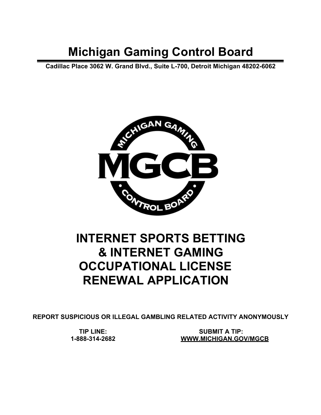# **Michigan Gaming Control Board**

**Cadillac Place 3062 W. Grand Blvd., Suite L-700, Detroit Michigan 48202-6062**



# **INTERNET SPORTS BETTING & INTERNET GAMING OCCUPATIONAL LICENSE RENEWAL APPLICATION**

**REPORT SUSPICIOUS OR ILLEGAL GAMBLING RELATED ACTIVITY ANONYMOUSLY**

**TIP LINE: 1-888-314-2682**

**SUBMIT A TIP: [WWW.MICHIGAN.GOV/MGCB](http://www.michigan.gov/MGCB)**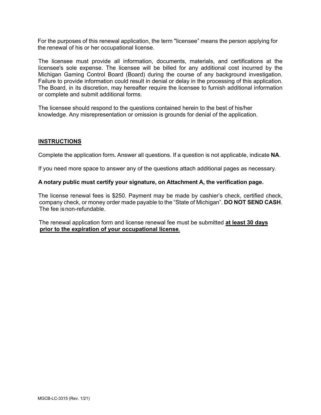For the purposes of this renewal application, the term "licensee" means the person applying for the renewal of his or her occupational license.

The licensee must provide all information, documents, materials, and certifications at the licensee's sole expense. The licensee will be billed for any additional cost incurred by the Michigan Gaming Control Board (Board) during the course of any background investigation. Failure to provide information could result in denial or delay in the processing of this application. The Board, in its discretion, may hereafter require the licensee to furnish additional information or complete and submit additional forms.

The licensee should respond to the questions contained herein to the best of his/her knowledge. Any misrepresentation or omission is grounds for denial of the application.

#### **INSTRUCTIONS**

Complete the application form**.** Answer all questions. If a question is not applicable, indicate **NA**.

If you need more space to answer any of the questions attach additional pages as necessary.

#### **A notary public must certify your signature, on Attachment A, the verification page.**

The license renewal fees is \$250. Payment may be made by cashier's check, certified check, company check, or money order made payable to the "State of Michigan". **DO NOT SEND CASH**. The fee isnon-refundable.

The renewal application form and license renewal fee must be submitted **at least 30 days prior to the expiration of your occupational license**.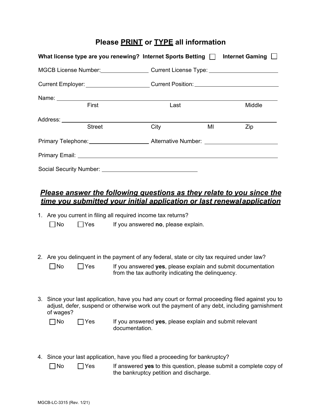## **Please PRINT or TYPE all information**

|                                                                                                                                                                                                                               | What license type are you renewing? Internet Sports Betting $\Box$ Internet Gaming                             |        |
|-------------------------------------------------------------------------------------------------------------------------------------------------------------------------------------------------------------------------------|----------------------------------------------------------------------------------------------------------------|--------|
|                                                                                                                                                                                                                               |                                                                                                                |        |
|                                                                                                                                                                                                                               | Current Employer: ______________________Current Position: ______________________                               |        |
| Name: Name and the service of the service of the service of the service of the service of the service of the service of the service of the service of the service of the service of the service of the service of the service |                                                                                                                |        |
| First                                                                                                                                                                                                                         | Last                                                                                                           | Middle |
| Address: _____________________                                                                                                                                                                                                |                                                                                                                |        |
| <b>Street</b>                                                                                                                                                                                                                 | City<br>MI                                                                                                     | Zip    |
|                                                                                                                                                                                                                               | Primary Telephone: ________________________________Alternative Number: _____________________________           |        |
|                                                                                                                                                                                                                               | Primary Email: No. 2014 19:30 AM ANN ANN ANN AN AIR AN AIR AN AIR AN AIR AN AIR AN AIR AN AIR AIR AN AIR AIR A |        |
|                                                                                                                                                                                                                               |                                                                                                                |        |

## *Please answer the following questions as they relate to you since the time you submitted your initial application or last renewalapplication*

1. Are you current in filing all required income tax returns?

No Yes If you answered **no**, please explain.

2. Are you delinquent in the payment of any federal, state or city tax required under law?

| L<br>N٥ |  |
|---------|--|
|         |  |

es If you answered **yes**, please explain and submit documentation from the tax authority indicating the delinquency.

3. Since your last application, have you had any court or formal proceeding filed against you to adjust, defer, suspend or otherwise work out the payment of any debt, including garnishment of wages?

No Yes If you answered **yes**, please explain and submit relevant documentation.

4. Since your last application, have you filed a proceeding for bankruptcy?

No Yes If answered **yes** to this question, please submit a complete copy of the bankruptcy petition and discharge.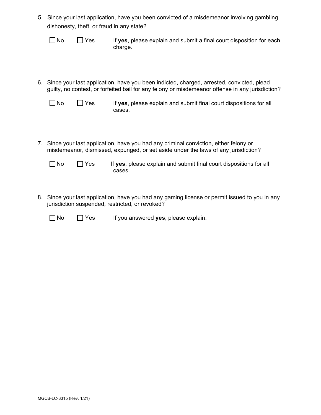dishonesty, theft, or fraud in any state? 5. Since your last application, have you been convicted of a misdemeanor involving gambling,

| $\Box$ No | $\Box$ Yes | If yes, please explain and submit a final court disposition for each |
|-----------|------------|----------------------------------------------------------------------|
|           |            | charge.                                                              |

6. Since your last application, have you been indicted, charged, arrested, convicted, plead guilty, no contest, or forfeited bail for any felony or misdemeanor offense in any jurisdiction?

| $\square$ No | $\Box$ Yes | If yes, please explain and submit final court dispositions for all |
|--------------|------------|--------------------------------------------------------------------|
|              |            | cases.                                                             |

7. Since your last application, have you had any criminal conviction, either felony or misdemeanor, dismissed, expunged, or set aside under the laws of any jurisdiction?

| $\Box$ No | $\Box$ Yes | If yes, please explain and submit final court dispositions for all |
|-----------|------------|--------------------------------------------------------------------|
|           |            | cases.                                                             |

8. Since your last application, have you had any gaming license or permit issued to you in any jurisdiction suspended, restricted, or revoked?

| $\Box$ No | $\Box$ Yes | If you answered yes, please explain. |
|-----------|------------|--------------------------------------|
|-----------|------------|--------------------------------------|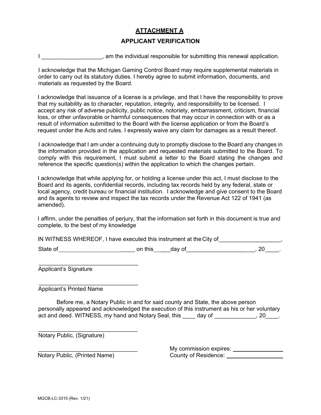## **ATTACHMENT A**

### **APPLICANT VERIFICATION**

I complete the individual responsible for submitting this renewal application.

I acknowledge that the Michigan Gaming Control Board may require supplemental materials in order to carry out its statutory duties. I hereby agree to submit information, documents, and materials as requested by the Board.

I acknowledge that issuance of a license is a privilege, and that I have the responsibility to prove that my suitability as to character, reputation, integrity, and responsibility to be licensed. I accept any risk of adverse publicity, public notice, notoriety, embarrassment, criticism, financial loss, or other unfavorable or harmful consequences that may occur in connection with or as a result of information submitted to the Board with the license application or from the Board's request under the Acts and rules. I expressly waive any claim for damages as a result thereof.

I acknowledge that I am under a continuing duty to promptly disclose to the Board any changes in the information provided in the application and requested materials submitted to the Board. To comply with this requirement, I must submit a letter to the Board stating the changes and reference the specific question(s) within the application to which the changes pertain.

I acknowledge that while applying for, or holding a license under this act, I must disclose to the Board and its agents, confidential records, including tax records held by any federal, state or local agency, credit bureau or financial institution. I acknowledge and give consent to the Board and its agents to review and inspect the tax records under the Revenue Act 122 of 1941 (as amended).

I affirm, under the penalties of perjury, that the information set forth in this document is true and complete, to the best of my knowledge

IN WITNESS WHEREOF, I have executed this instrument at the City of \_\_\_\_\_\_\_\_\_\_\_\_\_\_\_\_\_\_\_\_,

State of \_\_\_\_\_ on this \_\_\_day of\_\_\_\_\_\_\_\_\_\_\_\_\_\_\_\_\_\_\_ \_\_, 20 \_\_\_\_.

\_\_\_\_\_\_\_\_\_\_\_\_\_\_\_\_\_\_\_\_\_\_\_\_\_\_\_\_\_\_\_ Applicant's Signature

\_\_\_\_\_\_\_\_\_\_\_\_\_\_\_\_\_\_\_\_\_\_\_\_\_\_\_\_\_\_\_ Applicant's Printed Name

Before me, a Notary Public in and for said county and State, the above person personally appeared and acknowledged the execution of this instrument as his or her voluntary pologically appointed and and and Notary Seal, this \_\_\_\_ day of \_\_\_\_\_\_\_\_\_\_\_\_\_, 20\_\_\_\_.

 $\_$ Notary Public, (Signature)

Notary Public, (Printed Name)

\_\_\_\_\_\_\_\_\_\_\_\_\_\_\_\_\_\_\_\_\_\_\_\_\_\_\_\_\_\_\_ My commission expires: